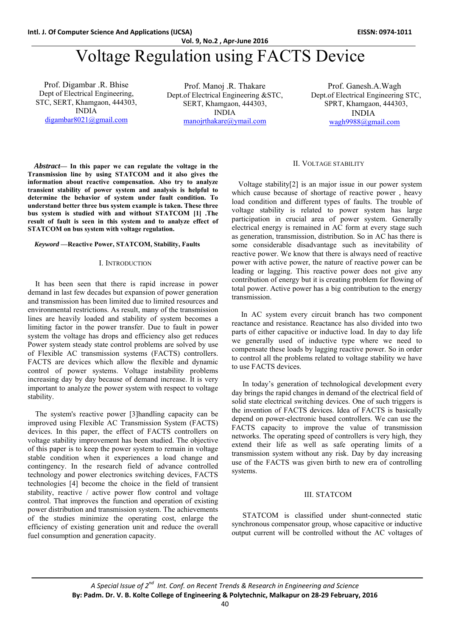# Voltage Regulation using FACTS Device

Prof. Digambar .R. Bhise Dept of Electrical Engineering, STC, SERT, Khamgaon, 444303, INDIA digambar8021@gmail.com

Prof. Manoj .R. Thakare Dept.of Electrical Engineering &STC, SERT, Khamgaon, 444303, INDIA manojrthakare@ymail.com

 Prof. Ganesh.A.Wagh Dept.of Electrical Engineering STC, SPRT, Khamgaon, 444303, INDIA wagh9988@gmail.com

*Abstract***— In this paper we can regulate the voltage in the Transmission line by using STATCOM and it also gives the information about reactive compensation. Also try to analyze transient stability of power system and analysis is helpful to determine the behavior of system under fault condition. To understand better three bus system example is taken. These three bus system is studied with and without STATCOM [1] .The result of fault is seen in this system and to analyze effect of STATCOM on bus system with voltage regulation.** 

#### *Keyword* **—Reactive Power, STATCOM, Stability, Faults**

#### I. INTRODUCTION

 It has been seen that there is rapid increase in power demand in last few decades but expansion of power generation and transmission has been limited due to limited resources and environmental restrictions. As result, many of the transmission lines are heavily loaded and stability of system becomes a limiting factor in the power transfer. Due to fault in power system the voltage has drops and efficiency also get reduces Power system steady state control problems are solved by use of Flexible AC transmission systems (FACTS) controllers. FACTS are devices which allow the flexible and dynamic control of power systems. Voltage instability problems increasing day by day because of demand increase. It is very important to analyze the power system with respect to voltage stability.

 The system's reactive power [3]handling capacity can be improved using Flexible AC Transmission System (FACTS) devices. In this paper, the effect of FACTS controllers on voltage stability improvement has been studied. The objective of this paper is to keep the power system to remain in voltage stable condition when it experiences a load change and contingency. In the research field of advance controlled technology and power electronics switching devices, FACTS technologies [4] become the choice in the field of transient stability, reactive / active power flow control and voltage control. That improves the function and operation of existing power distribution and transmission system. The achievements of the studies minimize the operating cost, enlarge the efficiency of existing generation unit and reduce the overall fuel consumption and generation capacity.

#### II. VOLTAGE STABILITY

 Voltage stability[2] is an major issue in our power system which cause because of shortage of reactive power , heavy load condition and different types of faults. The trouble of voltage stability is related to power system has large participation in crucial area of power system. Generally electrical energy is remained in AC form at every stage such as generation, transmission, distribution. So in AC has there is some considerable disadvantage such as inevitability of reactive power. We know that there is always need of reactive power with active power, the nature of reactive power can be leading or lagging. This reactive power does not give any contribution of energy but it is creating problem for flowing of total power. Active power has a big contribution to the energy transmission.

 In AC system every circuit branch has two component reactance and resistance. Reactance has also divided into two parts of either capacitive or inductive load. In day to day life we generally used of inductive type where we need to compensate these loads by lagging reactive power. So in order to control all the problems related to voltage stability we have to use FACTS devices.

In today's generation of technological development every day brings the rapid changes in demand of the electrical field of solid state electrical switching devices. One of such triggers is the invention of FACTS devices. Idea of FACTS is basically depend on power-electronic based controllers. We can use the FACTS capacity to improve the value of transmission networks. The operating speed of controllers is very high, they extend their life as well as safe operating limits of a transmission system without any risk. Day by day increasing use of the FACTS was given birth to new era of controlling systems.

#### III. STATCOM

STATCOM is classified under shunt-connected static synchronous compensator group, whose capacitive or inductive output current will be controlled without the AC voltages of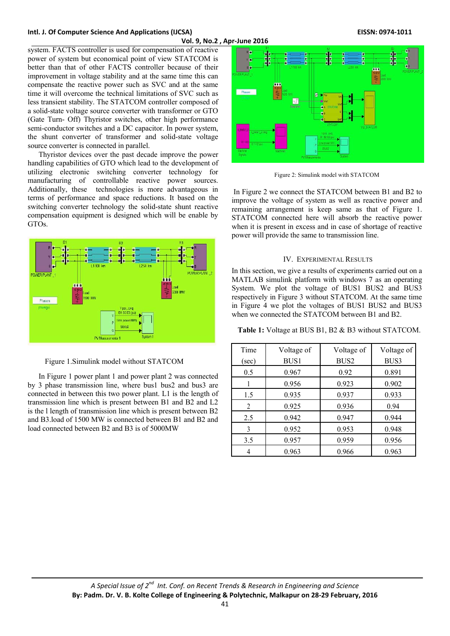## **Intl. J. Of Computer Science And Applications (IJCSA) EISSN: 0974‐1011**

system. FACTS controller is used for compensation of reactive power of system but economical point of view STATCOM is better than that of other FACTS controller because of their improvement in voltage stability and at the same time this can compensate the reactive power such as SVC and at the same time it will overcome the technical limitations of SVC such as less transient stability. The STATCOM controller composed of a solid-state voltage source converter with transformer or GTO (Gate Turn- Off) Thyristor switches, other high performance semi-conductor switches and a DC capacitor. In power system, the shunt converter of transformer and solid-state voltage source converter is connected in parallel.

Thyristor devices over the past decade improve the power handling capabilities of GTO which lead to the development of utilizing electronic switching converter technology for manufacturing of controllable reactive power sources. Additionally, these technologies is more advantageous in terms of performance and space reductions. It based on the switching converter technology the solid-state shunt reactive compensation equipment is designed which will be enable by GTOs.



Figure 1.Simulink model without STATCOM

In Figure 1 power plant 1 and power plant 2 was connected by 3 phase transmission line, where bus1 bus2 and bus3 are connected in between this two power plant. L1 is the length of transmission line which is present between B1 and B2 and L2 is the l length of transmission line which is present between B2 and B3.load of 1500 MW is connected between B1 and B2 and load connected between B2 and B3 is of 5000MW



Figure 2: Simulink model with STATCOM

 In Figure 2 we connect the STATCOM between B1 and B2 to improve the voltage of system as well as reactive power and remaining arrangement is keep same as that of Figure 1. STATCOM connected here will absorb the reactive power when it is present in excess and in case of shortage of reactive power will provide the same to transmission line.

#### IV. EXPERIMENTAL RESULTS

In this section, we give a results of experiments carried out on a MATLAB simulink platform with windows 7 as an operating System. We plot the voltage of BUS1 BUS2 and BUS3 respectively in Figure 3 without STATCOM. At the same time in Figure 4 we plot the voltages of BUS1 BUS2 and BUS3 when we connected the STATCOM between B1 and B2.

 **Table 1:** Voltage at BUS B1, B2 & B3 without STATCOM.

| Time           | Voltage of | Voltage of       | Voltage of |
|----------------|------------|------------------|------------|
| (sec)          | BUS1       | BUS <sub>2</sub> | BUS3       |
| 0.5            | 0.967      | 0.92             | 0.891      |
|                | 0.956      | 0.923            | 0.902      |
| 1.5            | 0.935      | 0.937            | 0.933      |
| $\overline{2}$ | 0.925      | 0.936            | 0.94       |
| 2.5            | 0.942      | 0.947            | 0.944      |
| 3              | 0.952      | 0.953            | 0.948      |
| 3.5            | 0.957      | 0.959            | 0.956      |
|                | 0.963      | 0.966            | 0.963      |